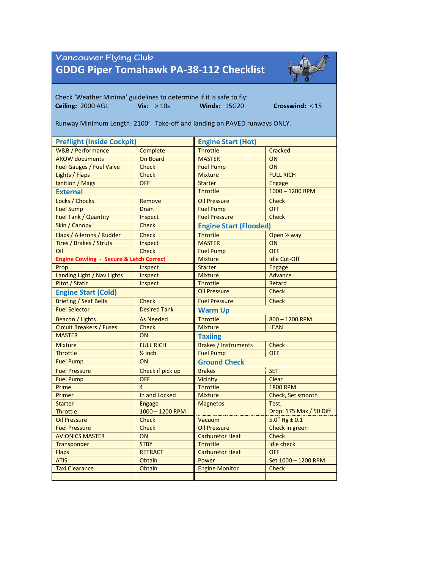## Vancouver Flying Club **GDDG Piper Tomahawk PA-38-112 Checklist**



Check 'Weather Minima' guidelines to determine if it is safe to fly: **Ceiling:** 2000 AGL **Vis:** > 10s **Winds:** 15G20 **Crosswind:** < 15 Runway Minimum Length: 2100'. Take-off and landing on PAVED runways ONLY. **Preflight (Inside Cockpit) Engine Start (Hot)** W&B / Performance Complete Throttle Cracked AROW documents **On Board** MASTER ON Fuel Gauges / Fuel Valve Check Fuel Pump Check Fuel Pump Lights / Flaps Check Mixture FULL RICH Ignition / Mags **OFF Starter Engage External** Throttle 1000 – 1200 RPM Locks / Chocks Remove Dil Pressure Check Fuel Sump Drain Drain **Fuel Pump OFF** Fuel Tank / Quantity Inspect Fuel Pressure Check **Skin / Canopy Check Engine Start (Flooded)** Flaps / Ailerons / Rudder Check Throttle Throttle Open 1/2 way Tires / Brakes / Struts Inspect MASTER ON Oil Check Fuel Pump OFF **Engine Cowling - Secure & Latch Correct** Mixture In Mixture Idle Cut-Off Prop Inspect Starter Engage Landing Light / Nav Lights | Inspect | Mixture | Advance Pitot / Static **Inspect** Inspect Throttle Retard **Engine Start (Cold) Check Check Check Check Check Check** Briefing / Seat Belts Check Fuel Pressure Check Fuel Selector **Desired Tank Warm Up** Beacon / Lights As Needed Throttle 800 – 1200 RPM Circuit Breakers / Fuses Check Mixture Check Mixture LEAN MASTER ON **Taxiing** Mixture **FULL RICH** Brakes / Instruments Check Throttle **Example 2** inch Fuel Pump **OFF Fuel Pump ON Ground Check** Fuel Pressure Check if pick up Brakes SET Fuel Pump **OFF** OFF **Clear Clear Clear** Prime 2000 RPM 2000 RPM 2000 RPM 2000 RPM 3000 RPM 3000 RPM 3000 RPM 3000 RPM 3000 RPM Primer **In and Locked** Mixture Check, Set smooth Starter **Engage Magnetos** Test, Throttle 1000 – 1200 RPM DROP: 175 Max / 50 Diff Oil Pressure Check Check Vacuum 5.0" Hg ± 0.1<br>
Fuel Pressure Check Check Oil Pressure Check in gree Fuel Pressure Check **Check Check Check Check Check in green** AVIONICS MASTER ON Carburetor Heat Check Transponder STBY Throttle Idle check Flaps RETRACT Carburetor Heat OFF ATIS CHARGE Obtain Power Set 1000 – 1200 RPM Taxi Clearance **Check Obtain Check Check**